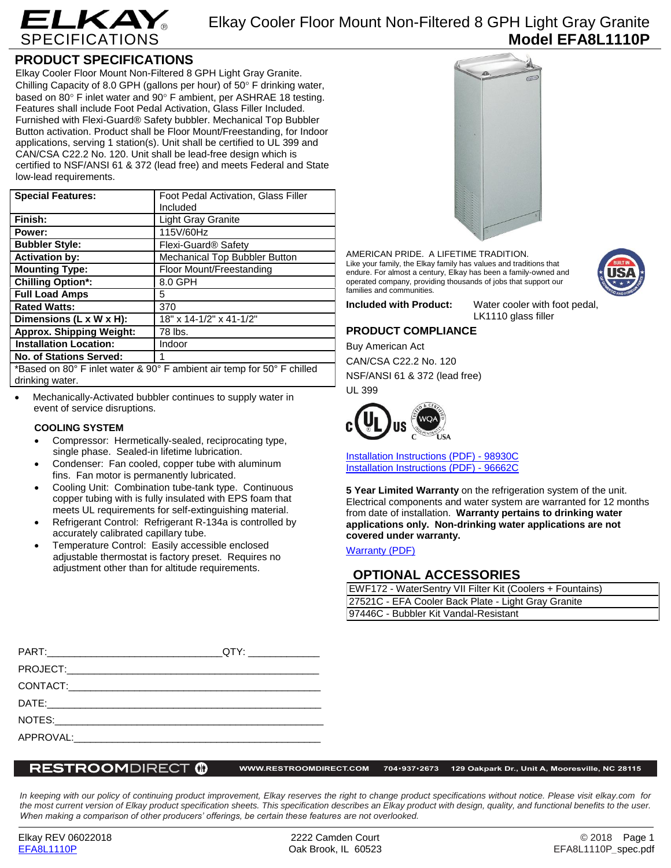

# Elkay Cooler Floor Mount Non-Filtered 8 GPH Light Gray Granite **Model EFA8L1110P**

## **PRODUCT SPECIFICATIONS**

Elkay Cooler Floor Mount Non-Filtered 8 GPH Light Gray Granite. Chilling Capacity of 8.0 GPH (gallons per hour) of  $50^\circ$  F drinking water, based on 80 $\degree$  F inlet water and 90 $\degree$  F ambient, per ASHRAE 18 testing. Features shall include Foot Pedal Activation, Glass Filler Included. Furnished with Flexi-Guard® Safety bubbler. Mechanical Top Bubbler Button activation. Product shall be Floor Mount/Freestanding, for Indoor applications, serving 1 station(s). Unit shall be certified to UL 399 and CAN/CSA C22.2 No. 120. Unit shall be lead-free design which is certified to NSF/ANSI 61 & 372 (lead free) and meets Federal and State low-lead requirements.

| <b>Special Features:</b>                                               | Foot Pedal Activation, Glass Filler |
|------------------------------------------------------------------------|-------------------------------------|
|                                                                        | Included                            |
| Finish:                                                                | <b>Light Gray Granite</b>           |
| Power:                                                                 | 115V/60Hz                           |
| <b>Bubbler Style:</b>                                                  | Flexi-Guard <sup>®</sup> Safety     |
| <b>Activation by:</b>                                                  | Mechanical Top Bubbler Button       |
| <b>Mounting Type:</b>                                                  | Floor Mount/Freestanding            |
| <b>Chilling Option*:</b>                                               | 8.0 GPH                             |
| <b>Full Load Amps</b>                                                  | 5                                   |
| <b>Rated Watts:</b>                                                    | 370                                 |
| Dimensions (L x W x H):                                                | 18" x 14-1/2" x 41-1/2"             |
| <b>Approx. Shipping Weight:</b>                                        | 78 lbs.                             |
| <b>Installation Location:</b>                                          | Indoor                              |
| <b>No. of Stations Served:</b>                                         |                                     |
| *Based on 80° F inlet water & 90° F ambient air temp for 50° F chilled |                                     |

drinking water.

 Mechanically-Activated bubbler continues to supply water in event of service disruptions.

### **COOLING SYSTEM**

- Compressor: Hermetically-sealed, reciprocating type, single phase. Sealed-in lifetime lubrication.
- Condenser: Fan cooled, copper tube with aluminum fins. Fan motor is permanently lubricated.
- Cooling Unit: Combination tube-tank type. Continuous copper tubing with is fully insulated with EPS foam that meets UL requirements for self-extinguishing material.
- Refrigerant Control: Refrigerant R-134a is controlled by accurately calibrated capillary tube.
- Temperature Control: Easily accessible enclosed adjustable thermostat is factory preset. Requires no adjustment other than for altitude requirements.



AMERICAN PRIDE. A LIFETIME TRADITION. Like your family, the Elkay family has values and traditions that endure. For almost a century, Elkay has been a family-owned and operated company, providing thousands of jobs that support our families and communities.

**Included with Product:** Water cooler with foot pedal, LK1110 glass filler

## **PRODUCT COMPLIANCE**

Buy American Act CAN/CSA C22.2 No. 120 NSF/ANSI 61 & 372 (lead free) UL 399



[Installation Instructions \(PDF\) -](http://www.elkay.com/wcsstore/lkdocs/care-cleaning-install-warranty-sheets/98930c.pdf) 98930[C](http://www.elkay.com/wcsstore/lkdocs/care-cleaning-install-warranty-sheets/98930c.pdf) [Installation Instructions \(PDF\) -](http://www.elkay.com/wcsstore/lkdocs/care-cleaning-install-warranty-sheets/96662c.pdf) 96662[C](http://www.elkay.com/wcsstore/lkdocs/care-cleaning-install-warranty-sheets/96662c.pdf)

**5 Year Limited Warranty** on the refrigeration system of the unit. Electrical components and water system are warranted for 12 months from date of installation. **Warranty pertains to drinking water applications only. Non-drinking water applications are not covered under warranty.**

[Warranty](http://www.elkay.com/wcsstore/lkdocs/care-cleaning-install-warranty-sheets/96993c.pdf) (PDF)

## **OPTIONAL ACCESSORIES**

| EWF172 - WaterSentry VII Filter Kit (Coolers + Fountains) |  |
|-----------------------------------------------------------|--|
| 27521C - EFA Cooler Back Plate - Light Gray Granite       |  |
| 97446C - Bubbler Kit Vandal-Resistant                     |  |

| QTY: ________________ |
|-----------------------|
|                       |
|                       |
|                       |
|                       |
|                       |

### **RESTROOMDIRECT @**

**WWW.RESTROOMDIRECT.COM 704•937•2673 129 Oakpark Dr., Unit A, Mooresville, NC 28115**

*In keeping with our policy of continuing product improvement, Elkay reserves the right to change product specifications without notice. Please visit elkay.com for*  the most current version of Elkay product specification sheets. This specification describes an Elkay product with design, quality, and functional benefits to the user. *When making a comparison of other producers' offerings, be certain these features are not overlooked.*